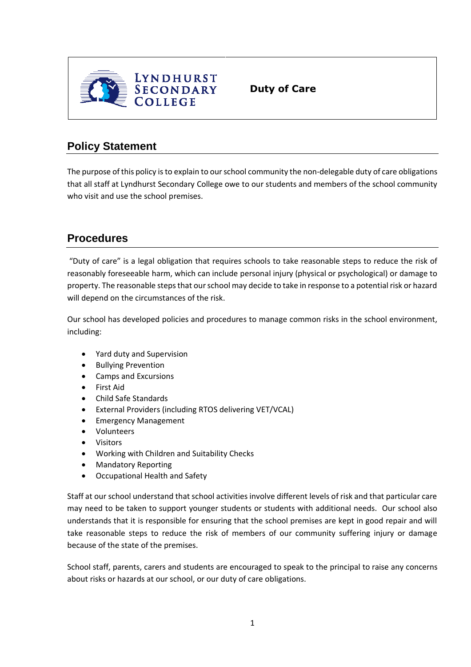

**Duty of Care**

## **Policy Statement**

The purpose of this policy is to explain to our school community the non-delegable duty of care obligations that all staff at Lyndhurst Secondary College owe to our students and members of the school community who visit and use the school premises.

## **Procedures**

"Duty of care" is a legal obligation that requires schools to take reasonable steps to reduce the risk of reasonably foreseeable harm, which can include personal injury (physical or psychological) or damage to property. The reasonable steps that our school may decide to take in response to a potential risk or hazard will depend on the circumstances of the risk.

Our school has developed policies and procedures to manage common risks in the school environment, including:

- Yard duty and Supervision
- Bullying Prevention
- Camps and Excursions
- First Aid
- Child Safe Standards
- External Providers (including RTOS delivering VET/VCAL)
- Emergency Management
- Volunteers
- Visitors
- Working with Children and Suitability Checks
- Mandatory Reporting
- Occupational Health and Safety

Staff at our school understand that school activities involve different levels of risk and that particular care may need to be taken to support younger students or students with additional needs. Our school also understands that it is responsible for ensuring that the school premises are kept in good repair and will take reasonable steps to reduce the risk of members of our community suffering injury or damage because of the state of the premises.

School staff, parents, carers and students are encouraged to speak to the principal to raise any concerns about risks or hazards at our school, or our duty of care obligations.